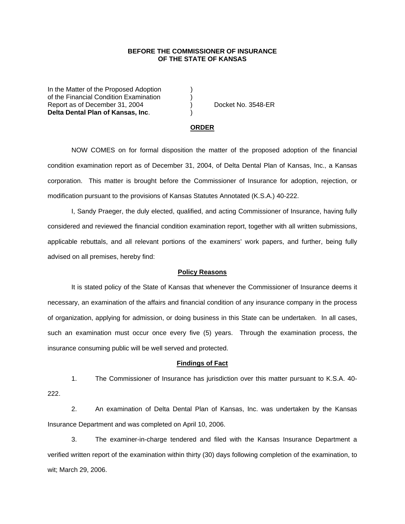## **BEFORE THE COMMISSIONER OF INSURANCE OF THE STATE OF KANSAS**

In the Matter of the Proposed Adoption of the Financial Condition Examination ) Report as of December 31, 2004 ) Docket No. 3548-ER **Delta Dental Plan of Kansas, Inc**. )

### **ORDER**

 NOW COMES on for formal disposition the matter of the proposed adoption of the financial condition examination report as of December 31, 2004, of Delta Dental Plan of Kansas, Inc., a Kansas corporation. This matter is brought before the Commissioner of Insurance for adoption, rejection, or modification pursuant to the provisions of Kansas Statutes Annotated (K.S.A.) 40-222.

 I, Sandy Praeger, the duly elected, qualified, and acting Commissioner of Insurance, having fully considered and reviewed the financial condition examination report, together with all written submissions, applicable rebuttals, and all relevant portions of the examiners' work papers, and further, being fully advised on all premises, hereby find:

#### **Policy Reasons**

 It is stated policy of the State of Kansas that whenever the Commissioner of Insurance deems it necessary, an examination of the affairs and financial condition of any insurance company in the process of organization, applying for admission, or doing business in this State can be undertaken. In all cases, such an examination must occur once every five (5) years. Through the examination process, the insurance consuming public will be well served and protected.

### **Findings of Fact**

 1. The Commissioner of Insurance has jurisdiction over this matter pursuant to K.S.A. 40- 222.

 2. An examination of Delta Dental Plan of Kansas, Inc. was undertaken by the Kansas Insurance Department and was completed on April 10, 2006.

 3. The examiner-in-charge tendered and filed with the Kansas Insurance Department a verified written report of the examination within thirty (30) days following completion of the examination, to wit; March 29, 2006.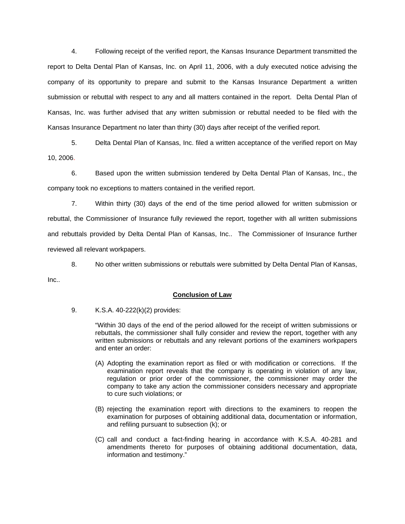4. Following receipt of the verified report, the Kansas Insurance Department transmitted the report to Delta Dental Plan of Kansas, Inc. on April 11, 2006, with a duly executed notice advising the company of its opportunity to prepare and submit to the Kansas Insurance Department a written submission or rebuttal with respect to any and all matters contained in the report. Delta Dental Plan of Kansas, Inc. was further advised that any written submission or rebuttal needed to be filed with the Kansas Insurance Department no later than thirty (30) days after receipt of the verified report.

 5. Delta Dental Plan of Kansas, Inc. filed a written acceptance of the verified report on May 10, 2006.

6. Based upon the written submission tendered by Delta Dental Plan of Kansas, Inc., the company took no exceptions to matters contained in the verified report.

 7. Within thirty (30) days of the end of the time period allowed for written submission or rebuttal, the Commissioner of Insurance fully reviewed the report, together with all written submissions and rebuttals provided by Delta Dental Plan of Kansas, Inc.. The Commissioner of Insurance further reviewed all relevant workpapers.

 8. No other written submissions or rebuttals were submitted by Delta Dental Plan of Kansas, Inc..

# **Conclusion of Law**

9. K.S.A. 40-222(k)(2) provides:

"Within 30 days of the end of the period allowed for the receipt of written submissions or rebuttals, the commissioner shall fully consider and review the report, together with any written submissions or rebuttals and any relevant portions of the examiners workpapers and enter an order:

- (A) Adopting the examination report as filed or with modification or corrections. If the examination report reveals that the company is operating in violation of any law, regulation or prior order of the commissioner, the commissioner may order the company to take any action the commissioner considers necessary and appropriate to cure such violations; or
- (B) rejecting the examination report with directions to the examiners to reopen the examination for purposes of obtaining additional data, documentation or information, and refiling pursuant to subsection (k); or
- (C) call and conduct a fact-finding hearing in accordance with K.S.A. 40-281 and amendments thereto for purposes of obtaining additional documentation, data, information and testimony."